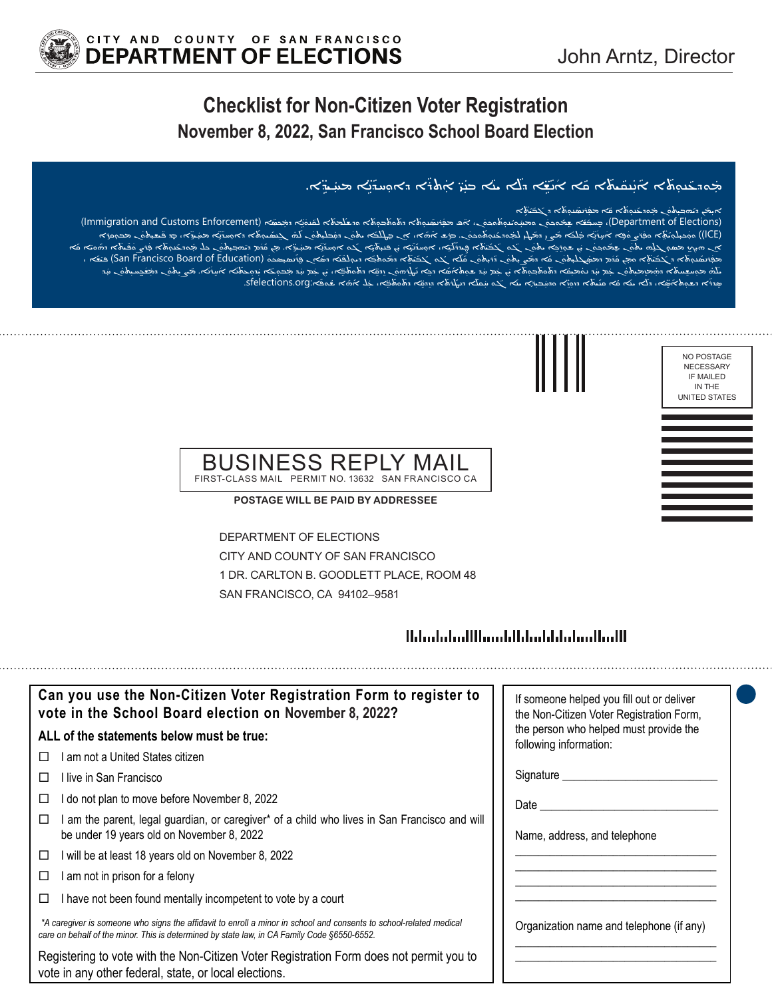NO POSTAGE NECESSARY IF MAILED IN THE UNITED STATES



w دېټمه مختلومحه مختلف ملک ملک هنگ پښت مختلف مختلف د پښتو په پښتو کې د بالا کې د بالا کې د بالا کې د بالا کې د<br>مختلف مختلف مختلف مختلف مختلف مختلف مختلف مختلف مختلف مختلف مختلف مختلف مختلف مختلف مختلف مختلف مختلف مختلف م ̈ ܲ̈ ܵ ܵܲ̈ܲ ܵ̈ ܵ ݇ ܵܵ ܵܵܲ

#### a شهره به هنگ هند می باشد و می باشد و هم باید به محمد است که به این می باشد و به این می باشد است و به این می<br>این می باشد و باشد و باشد و باشد و باشد و باشد و باشد و باشد و باشد و باشد و باشد و باشد و باشد و باشد و باشد ̈ ܵܵܵܵܲܵܵ

(Immigration and Customs Enforcement) ܐ ܵ ݂ܟܣ ܹ � ܐ ܕܡ ܢ ܿ ܢܘ ܐ ܠܩ ܡܬ ܐ ܘܕܫܠ ݂ܒ ܼܘܬ ܘܬ ܐ ܕܬ ܼܢܘܬ ܲܪܢܣ � ܦ ܡܦ ܿܢ، ܐ ݂ܘܟܘ ܼܢܘܬ ܘܝ ܿ � ܢ ܘܡܚ ݂ܘܟܘ ܸܐ ܫܡ ܫ ܚܒ݂ ܒܸ ،)Department of Elections) ܲ ܵܵܵܵܵܵܵܲܵܵܵسے مسلم کے بعد اس کے مطلب کے استعمال کرنے کے مطلب کے اس کے اس کے بعد اس کے مطلب کے مطلب کر کر کر کر کر کر کر ک<br>(ICE)) موصلہ توہی کو بہت کرنے کو اس کے بعد کر کر کر کر کر کر کر کر کر کر کر کر کے اس کے مطلب کر کر کر کر کر کے ܵ̈ ܲ̈ ܵ ׇ֦ܵܵ֘֝ ֖֚֚ܵܲ֬ ܵܵܵܵܲܵܵܲ̈ ݇ ݇ ̈ ܲܵܐ ܵܐ ܩ ܘܝ ܐ ܕܗ ܵܝܬ ܿ ܦ ܲܪܨܘ �ܐ ܦ ܼܢܘܬ ܘܕܥ ܿ � ܢ ܟܠ ܡ ݂ܗܒ ܼܝܬܘ ݇ܡ ܕܝ ܵܕ ܹ ̣ܐ. ܡܢ ܩ ܝܕ ܹ � ܐ ܡܚ ܢ ܹ ܵܐ ܓ ܼ ܘ ܐܘܚܕ ܝ ܼ ܢ ܦܢܝܬ ܹ �ܐ ܝ ܝ ܢ ܹ ܼ ܐ، ܐܘܚܕ ܝ ܠ ܹܝܕܪ ̮ܐ ܦ ܵܬ ܵܝ ܿ ܵܢ ܓ ܵ ܘ ܓܒ ܼ ܢ ܫܘܸܪܹܟܐ ܝܬܘ ܿ �ܢ ܝ ݂ܘܟܘ ܿ ܸܢ ܫܡ ܸܐ ܼ ܢ ܗܝ ̰ܟ ܼ ܡܣܘ ݂ܓܹܠܗ ܝܬܘ ܲܪܢܣ ܵܵܵܵܲܵ̈ ܲ̈ ܵ ̈ ܵܲ̈ ܵ ܵ ̈ ܵ ̈ܲܵ، حت (San Francisco Board of Education) مصممت څر دهنه مختلف چې پښتند کې د ستان په محصول د کښتند چې مختلف په مح<br>ندې ټکټنلی په مختلف محصول کې د په پښتند کې په پاکستان کې په پاکستان په کې په محصول کې په کې په کې په په په مخت ܵܵܵ ܵܵ̈ ܵܵܲ ݇̈ ܵ�ܡܦ ܲتَنْهُ صَوْمِيَتِهِمْ مَرْمَاتِهِمْ مَرْسَى مَوْسَى مَرْسَى مِنْ حَمْدَ مِنْ مَرْسَلِكَ مِنْ مَرْسَلِكَ مِنْ م ݇ ܲܵ݇ ݇ ܵܲܵܲܲܲ̈ ֺ֖֖ׅ֧֪ׅ֧֪ׅ֧֪ׅ֖֧֧֪ׅ֖֧֪֪ׅ֧֪ׅ֧֚֚֚֚֚֚֚֚֚֚֚֚֚֚֚֚֚֚֚֚֚֚֚֚֚֚֚֚֚֚ܵܵܵܵܲܲܲܵܲܲܲܵ֝֝֟֓֡֓֞֡֡֬֓֞֝֬֓֞֝֬֝֓֞֝ ֖֚֚֬ — د جستیست میکنید که سیست می دهد و در استان می کند و سیست میشد و سیست می کند.<br>همینی استان استان می کند و سیست می کند و سیست می بین استان استان می کند و سیست می کند و استان استان می کند.<br>همین استان استان استان استان استان ܵܵܵܲ̈ ܵܵ̈ ܵܲܲ̈ ܵ̈ ֖֚֚ܵ֬

#### BUSINESS REPLY MAIL FIRST-CLASS MAIL PERMIT NO. 13632 SAN FRANCISCO CA

**POSTAGE WILL BE PAID BY ADDRESSEE**

DEPARTMENT OF ELECTIONS CITY AND COUNTY OF SAN FRANCISCO 1 DR. CARLTON B. GOODLETT PLACE, ROOM 48 SAN FRANCISCO, CA 94102–9581

## <u> Ildrahahallihaaddidaabdahaadhalli</u>

| Can you use the Non-Citizen Voter Registration Form to register to<br>vote in the School Board election on November 8, 2022?                                                                                      | If someone helped you fill out or deliver<br>the Non-Citizen Voter Registration Form, |
|-------------------------------------------------------------------------------------------------------------------------------------------------------------------------------------------------------------------|---------------------------------------------------------------------------------------|
| ALL of the statements below must be true:                                                                                                                                                                         | the person who helped must provide the<br>following information:                      |
| am not a United States citizen<br>П                                                                                                                                                                               |                                                                                       |
| I live in San Francisco<br>П                                                                                                                                                                                      | Signature ________                                                                    |
| do not plan to move before November 8, 2022<br>□                                                                                                                                                                  | Date                                                                                  |
| am the parent, legal guardian, or caregiver* of a child who lives in San Francisco and will<br>⊔<br>be under 19 years old on November 8, 2022                                                                     | Name, address, and telephone                                                          |
| will be at least 18 years old on November 8, 2022<br>□                                                                                                                                                            |                                                                                       |
| am not in prison for a felony<br>□                                                                                                                                                                                |                                                                                       |
| I have not been found mentally incompetent to vote by a court<br>□                                                                                                                                                |                                                                                       |
| *A caregiver is someone who signs the affidavit to enroll a minor in school and consents to school-related medical<br>care on behalf of the minor. This is determined by state law, in CA Family Code §6550-6552. | Organization name and telephone (if any)                                              |
| Registering to vote with the Non-Citizen Voter Registration Form does not permit you to<br>vote in any other federal, state, or local elections.                                                                  |                                                                                       |